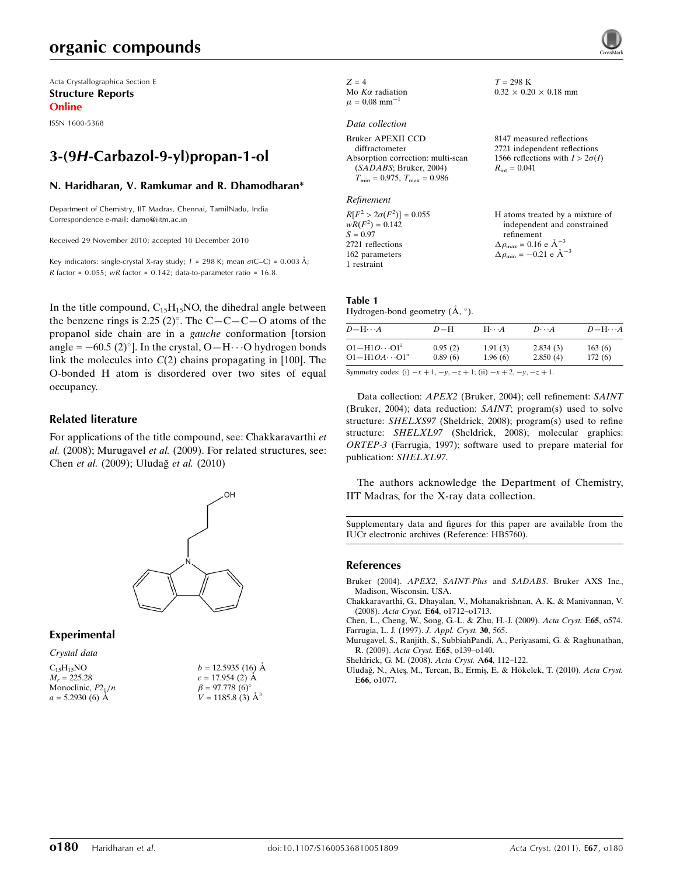# organic compounds

Acta Crystallographica Section E Structure Reports Online

ISSN 1600-5368

# 3-(9H-Carbazol-9-yl)propan-1-ol

### N. Haridharan, V. Ramkumar and R. Dhamodharan\*

Department of Chemistry, IIT Madras, Chennai, TamilNadu, India Correspondence e-mail: damo@iitm.ac.in

Received 29 November 2010; accepted 10 December 2010

Key indicators: single-crystal X-ray study;  $T = 298$  K; mean  $\sigma$ (C–C) = 0.003 Å; R factor =  $0.055$ ; wR factor =  $0.142$ ; data-to-parameter ratio =  $16.8$ .

In the title compound,  $C_{15}H_{15}NO$ , the dihedral angle between the benzene rings is 2.25  $(2)^\circ$ . The C-C-C-O atoms of the propanol side chain are in a gauche conformation [torsion angle =  $-60.5$  (2)<sup>o</sup>]. In the crystal, O $-H \cdots$ O hydrogen bonds link the molecules into  $C(2)$  chains propagating in [100]. The O-bonded H atom is disordered over two sites of equal occupancy.

## Related literature

For applications of the title compound, see: Chakkaravarthi et al. (2008); Murugavel et al. (2009). For related structures, see: Chen et al. (2009); Uludağ et al. (2010)



### Experimental

| Crystal data         |                          |
|----------------------|--------------------------|
| $C_{15}H_{15}NO$     | $b = 12.5935(16)$ Å      |
| $M_r = 225.28$       | $c = 17.954(2)$ Å        |
| Monoclinic, $P2_1/n$ | $\beta = 97.778(6)$ °    |
| $a = 5.2930(6)$ Å    | $V = 1185.8$ (3) $\AA^3$ |
|                      |                          |

| $Z = 4$                       |
|-------------------------------|
| Mo $K\alpha$ radiation        |
| $\mu$ = 0.08 $\text{mm}^{-1}$ |

#### Data collection

Refinement

 $R[F^2 > 2\sigma(F^2)] = 0.055$ <br>  $wR(F^2) = 0.142$  $S = 0.97$ 2721 reflections 162 parameters 1 restraint

 $T = 298$  K  $0.32 \times 0.20 \times 0.18$  mm

8147 measured reflections 2721 independent reflections 1566 reflections with  $I > 2\sigma(I)$  $R_{\text{int}} = 0.041$ 

H atoms treated by a mixture of independent and constrained refinement  $\Delta \rho_{\text{max}} = 0.16 \text{ e A}^{-3}$  $\Delta \rho_{\rm min} = -0.21 \text{ e } \text{\AA}^{-3}$ 

#### Table 1 Hydrogen-bond geometry  $(\AA, \degree)$ .

| $D - H \cdots A$           | $D-H$   | $H\cdots A$ | $D\cdots A$ | $D - H \cdots A$ |
|----------------------------|---------|-------------|-------------|------------------|
| $O1 - H1O \cdots O1^{i}$   | 0.95(2) | 1.91(3)     | 2.834(3)    | 163(6)           |
| $O1 - H1OA \cdots O1^{ii}$ | 0.89(6) | 1.96(6)     | 2.850(4)    | 172(6)           |

Symmetry codes: (i)  $-x + 1$ ,  $-y$ ,  $-z + 1$ ; (ii)  $-x + 2$ ,  $-y$ ,  $-z + 1$ .

Data collection: APEX2 (Bruker, 2004); cell refinement: SAINT (Bruker, 2004); data reduction: SAINT; program(s) used to solve structure: SHELXS97 (Sheldrick, 2008); program(s) used to refine structure: SHELXL97 (Sheldrick, 2008); molecular graphics: ORTEP-3 (Farrugia, 1997); software used to prepare material for publication: SHELXL97.

The authors acknowledge the Department of Chemistry, IIT Madras, for the X-ray data collection.

Supplementary data and figures for this paper are available from the IUCr electronic archives (Reference: HB5760).

#### References

- Bruker (2004). APEX2, SAINT-Plus and SADABS[. Bruker AXS Inc.,](http://scripts.iucr.org/cgi-bin/cr.cgi?rm=pdfbb&cnor=hb5760&bbid=BB1) [Madison, Wisconsin, USA.](http://scripts.iucr.org/cgi-bin/cr.cgi?rm=pdfbb&cnor=hb5760&bbid=BB1)
- [Chakkaravarthi, G., Dhayalan, V., Mohanakrishnan, A. K. & Manivannan, V.](http://scripts.iucr.org/cgi-bin/cr.cgi?rm=pdfbb&cnor=hb5760&bbid=BB2) (2008). Acta Cryst. E64[, o1712–o1713.](http://scripts.iucr.org/cgi-bin/cr.cgi?rm=pdfbb&cnor=hb5760&bbid=BB2)

[Chen, L., Cheng, W., Song, G.-L. & Zhu, H.-J. \(2009\).](http://scripts.iucr.org/cgi-bin/cr.cgi?rm=pdfbb&cnor=hb5760&bbid=BB3) Acta Cryst. E65, o574. [Farrugia, L. J. \(1997\).](http://scripts.iucr.org/cgi-bin/cr.cgi?rm=pdfbb&cnor=hb5760&bbid=BB4) J. Appl. Cryst. 30, 565.

- [Murugavel, S., Ranjith, S., SubbiahPandi, A., Periyasami, G. & Raghunathan,](http://scripts.iucr.org/cgi-bin/cr.cgi?rm=pdfbb&cnor=hb5760&bbid=BB5) R. (2009). Acta Cryst. E65[, o139–o140.](http://scripts.iucr.org/cgi-bin/cr.cgi?rm=pdfbb&cnor=hb5760&bbid=BB5)
- [Sheldrick, G. M. \(2008\).](http://scripts.iucr.org/cgi-bin/cr.cgi?rm=pdfbb&cnor=hb5760&bbid=BB6) Acta Cryst. A64, 112–122.
- Uludağ, N., Ateş, M., Tercan, B., Ermiş, E. & Hökelek, T. (2010). Acta Cryst. E66[, o1077.](http://scripts.iucr.org/cgi-bin/cr.cgi?rm=pdfbb&cnor=hb5760&bbid=BB7)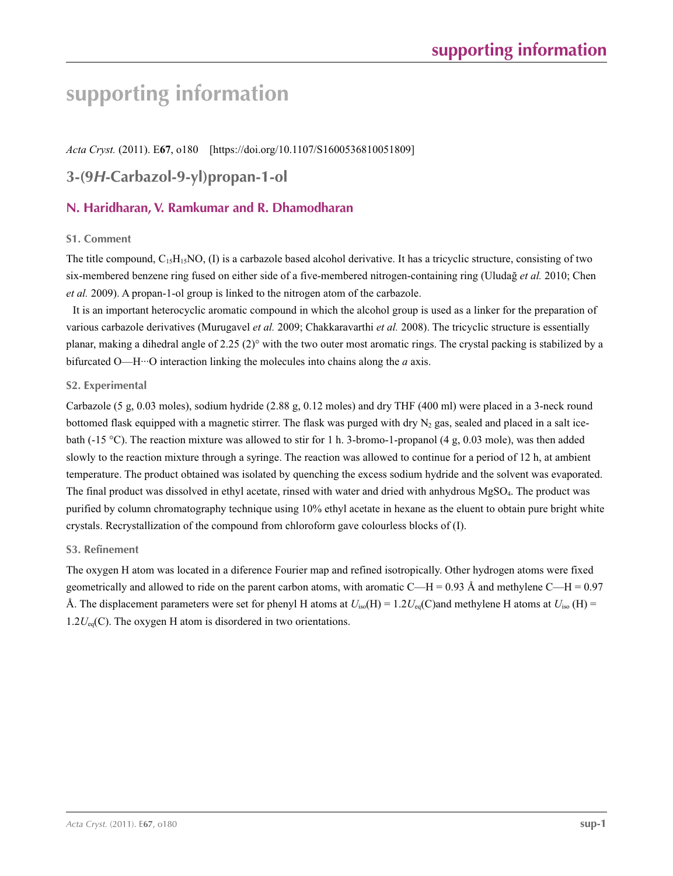# **supporting information**

*Acta Cryst.* (2011). E**67**, o180 [https://doi.org/10.1107/S1600536810051809]

# **3-(9***H***-Carbazol-9-yl)propan-1-ol**

# **N. Haridharan, V. Ramkumar and R. Dhamodharan**

# **S1. Comment**

The title compound,  $C_{15}H_{15}NO$ , (I) is a carbazole based alcohol derivative. It has a tricyclic structure, consisting of two six-membered benzene ring fused on either side of a five-membered nitrogen-containing ring (Uludağ *et al.* 2010; Chen *et al.* 2009). A propan-1-ol group is linked to the nitrogen atom of the carbazole.

It is an important heterocyclic aromatic compound in which the alcohol group is used as a linker for the preparation of various carbazole derivatives (Murugavel *et al.* 2009; Chakkaravarthi *et al.* 2008). The tricyclic structure is essentially planar, making a dihedral angle of 2.25 (2)° with the two outer most aromatic rings. The crystal packing is stabilized by a bifurcated O—H···O interaction linking the molecules into chains along the *a* axis.

# **S2. Experimental**

Carbazole (5 g, 0.03 moles), sodium hydride (2.88 g, 0.12 moles) and dry THF (400 ml) were placed in a 3-neck round bottomed flask equipped with a magnetic stirrer. The flask was purged with dry  $N_2$  gas, sealed and placed in a salt icebath (-15 °C). The reaction mixture was allowed to stir for 1 h. 3-bromo-1-propanol (4 g, 0.03 mole), was then added slowly to the reaction mixture through a syringe. The reaction was allowed to continue for a period of 12 h, at ambient temperature. The product obtained was isolated by quenching the excess sodium hydride and the solvent was evaporated. The final product was dissolved in ethyl acetate, rinsed with water and dried with anhydrous MgSO4. The product was purified by column chromatography technique using 10% ethyl acetate in hexane as the eluent to obtain pure bright white crystals. Recrystallization of the compound from chloroform gave colourless blocks of (I).

## **S3. Refinement**

The oxygen H atom was located in a diference Fourier map and refined isotropically. Other hydrogen atoms were fixed geometrically and allowed to ride on the parent carbon atoms, with aromatic C—H = 0.93 Å and methylene C—H = 0.97 Å. The displacement parameters were set for phenyl H atoms at  $U_{iso}(H) = 1.2U_{eq}(C)$ and methylene H atoms at  $U_{iso}(H) =$  $1.2U_{eq}(C)$ . The oxygen H atom is disordered in two orientations.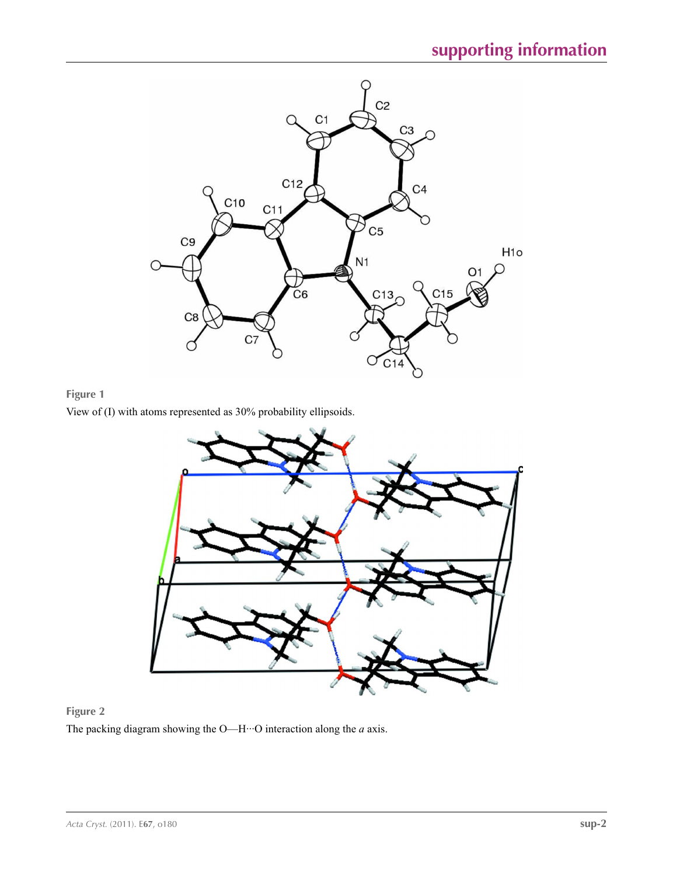

# **Figure 1**

View of (I) with atoms represented as 30% probability ellipsoids.



# **Figure 2**

The packing diagram showing the O—H···O interaction along the *a* axis.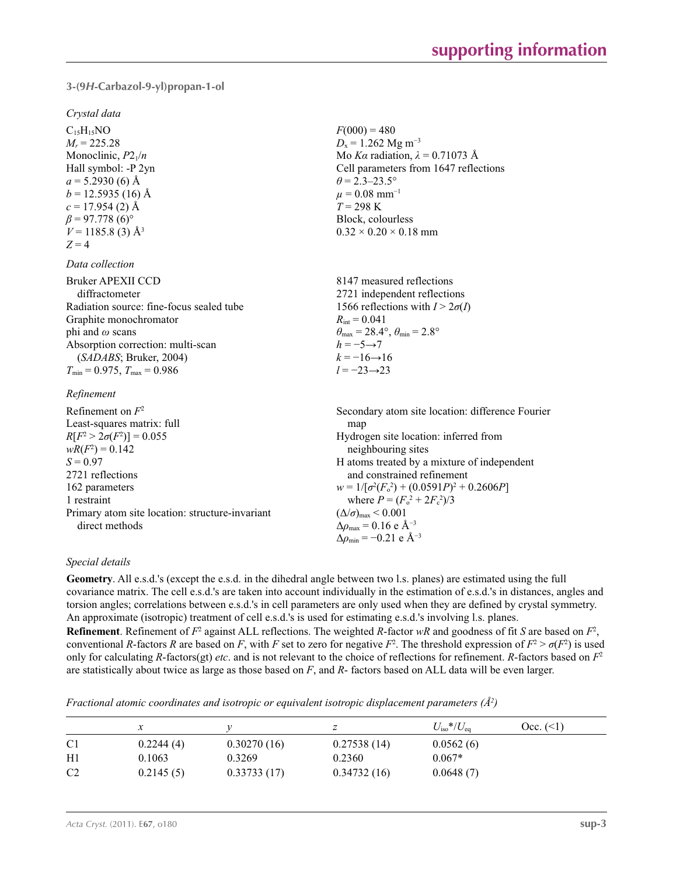## **3-(9***H***-Carbazol-9-yl)propan-1-ol**

#### *Crystal data*

 $C_{15}H_{15}NO$  $M_r = 225.28$ Monoclinic, *P*21/*n* Hall symbol: -P 2yn  $a = 5.2930(6)$  Å  $b = 12.5935(16)$  Å  $c = 17.954(2)$  Å  $\beta$  = 97.778 (6)<sup>o</sup>  $V = 1185.8$  (3)  $\AA$ <sup>3</sup>  $Z = 4$ 

#### *Data collection*

| <b>Bruker APEXII CCD</b>                 | 8147 measured reflections                                               |
|------------------------------------------|-------------------------------------------------------------------------|
| diffractometer                           | 2721 independent reflections                                            |
| Radiation source: fine-focus sealed tube | 1566 reflections with $I > 2\sigma(I)$                                  |
| Graphite monochromator                   | $R_{\text{int}} = 0.041$                                                |
| phi and $\omega$ scans                   | $\theta_{\text{max}} = 28.4^{\circ}, \theta_{\text{min}} = 2.8^{\circ}$ |
| Absorption correction: multi-scan        | $h = -5 \rightarrow 7$                                                  |
| (SADABS; Bruker, 2004)                   | $k = -16 \rightarrow 16$                                                |
| $T_{\min}$ = 0.975, $T_{\max}$ = 0.986   | $l = -23 \rightarrow 23$                                                |
|                                          |                                                                         |

## *Refinement*

| Refinement on $F^2$                             | Secondary atom site location: difference Fourier   |
|-------------------------------------------------|----------------------------------------------------|
| Least-squares matrix: full                      | map                                                |
| $R[F^2 > 2\sigma(F^2)] = 0.055$                 | Hydrogen site location: inferred from              |
| $wR(F^2) = 0.142$                               | neighbouring sites                                 |
| $S = 0.97$                                      | H atoms treated by a mixture of independent        |
| 2721 reflections                                | and constrained refinement                         |
| 162 parameters                                  | $w = 1/[\sigma^2(F_0^2) + (0.0591P)^2 + 0.2606P]$  |
| 1 restraint                                     | where $P = (F_0^2 + 2F_c^2)/3$                     |
| Primary atom site location: structure-invariant | $(\Delta/\sigma)_{\text{max}}$ < 0.001             |
| direct methods                                  | $\Delta \rho_{\text{max}} = 0.16 \text{ e A}^{-3}$ |
|                                                 | $\Delta \rho_{\rm min} = -0.21$ e Å <sup>-3</sup>  |

 $F(000) = 480$  $D_x = 1.262$  Mg m<sup>-3</sup>

 $\theta$  = 2.3–23.5°  $\mu$  = 0.08 mm<sup>-1</sup>  $T = 298 \text{ K}$ Block, colourless  $0.32 \times 0.20 \times 0.18$  mm

Mo *Kα* radiation, *λ* = 0.71073 Å Cell parameters from 1647 reflections

## *Special details*

**Geometry**. All e.s.d.'s (except the e.s.d. in the dihedral angle between two l.s. planes) are estimated using the full covariance matrix. The cell e.s.d.'s are taken into account individually in the estimation of e.s.d.'s in distances, angles and torsion angles; correlations between e.s.d.'s in cell parameters are only used when they are defined by crystal symmetry. An approximate (isotropic) treatment of cell e.s.d.'s is used for estimating e.s.d.'s involving l.s. planes. **Refinement**. Refinement of  $F^2$  against ALL reflections. The weighted *R*-factor  $wR$  and goodness of fit *S* are based on  $F^2$ , conventional *R*-factors *R* are based on *F*, with *F* set to zero for negative  $F^2$ . The threshold expression of  $F^2 > \sigma(F^2)$  is used only for calculating *R*-factors(gt) *etc*. and is not relevant to the choice of reflections for refinement. *R*-factors based on *F*<sup>2</sup> are statistically about twice as large as those based on *F*, and *R*- factors based on ALL data will be even larger.

*Fractional atomic coordinates and isotropic or equivalent isotropic displacement parameters (Å<sup>2</sup>)* 

|                | x         |             |             | $U_{\rm iso}$ */ $U_{\rm eq}$ | $Occ. ( \leq 1)$ |
|----------------|-----------|-------------|-------------|-------------------------------|------------------|
| C <sub>1</sub> | 0.2244(4) | 0.30270(16) | 0.27538(14) | 0.0562(6)                     |                  |
| H1             | 0.1063    | 0.3269      | 0.2360      | $0.067*$                      |                  |
| C <sub>2</sub> | 0.2145(5) | 0.33733(17) | 0.34732(16) | 0.0648(7)                     |                  |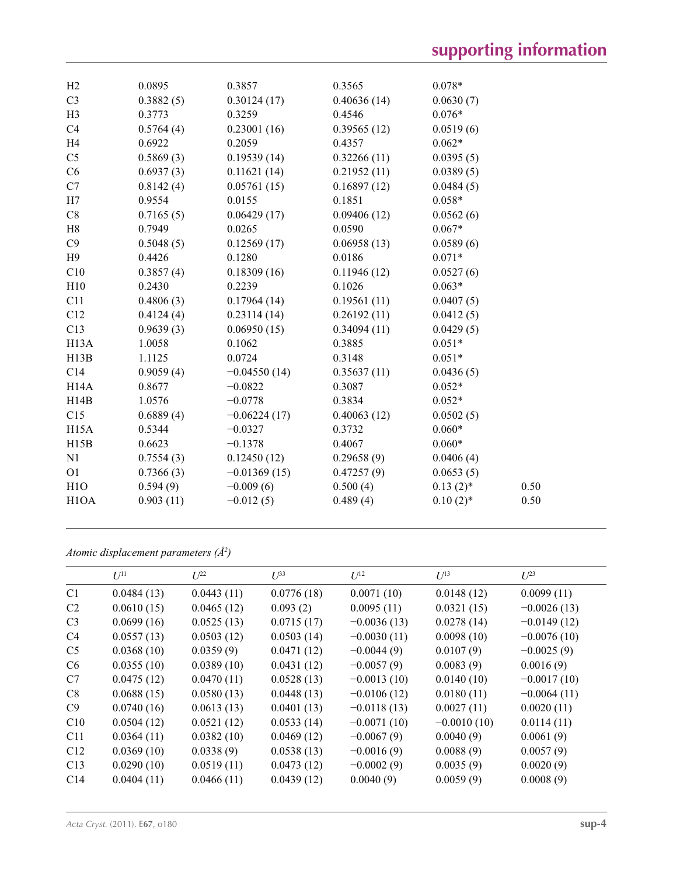| H2                | 0.0895    | 0.3857         | 0.3565      | $0.078*$    |      |
|-------------------|-----------|----------------|-------------|-------------|------|
| C <sub>3</sub>    | 0.3882(5) | 0.30124(17)    | 0.40636(14) | 0.0630(7)   |      |
| H3                | 0.3773    | 0.3259         | 0.4546      | $0.076*$    |      |
| C4                | 0.5764(4) | 0.23001(16)    | 0.39565(12) | 0.0519(6)   |      |
| H4                | 0.6922    | 0.2059         | 0.4357      | $0.062*$    |      |
| C <sub>5</sub>    | 0.5869(3) | 0.19539(14)    | 0.32266(11) | 0.0395(5)   |      |
| C6                | 0.6937(3) | 0.11621(14)    | 0.21952(11) | 0.0389(5)   |      |
| C7                | 0.8142(4) | 0.05761(15)    | 0.16897(12) | 0.0484(5)   |      |
| H7                | 0.9554    | 0.0155         | 0.1851      | $0.058*$    |      |
| C8                | 0.7165(5) | 0.06429(17)    | 0.09406(12) | 0.0562(6)   |      |
| H8                | 0.7949    | 0.0265         | 0.0590      | $0.067*$    |      |
| C9                | 0.5048(5) | 0.12569(17)    | 0.06958(13) | 0.0589(6)   |      |
| H9                | 0.4426    | 0.1280         | 0.0186      | $0.071*$    |      |
| C10               | 0.3857(4) | 0.18309(16)    | 0.11946(12) | 0.0527(6)   |      |
| H10               | 0.2430    | 0.2239         | 0.1026      | $0.063*$    |      |
| C11               | 0.4806(3) | 0.17964(14)    | 0.19561(11) | 0.0407(5)   |      |
| C12               | 0.4124(4) | 0.23114(14)    | 0.26192(11) | 0.0412(5)   |      |
| C13               | 0.9639(3) | 0.06950(15)    | 0.34094(11) | 0.0429(5)   |      |
| H <sub>13</sub> A | 1.0058    | 0.1062         | 0.3885      | $0.051*$    |      |
| H13B              | 1.1125    | 0.0724         | 0.3148      | $0.051*$    |      |
| C14               | 0.9059(4) | $-0.04550(14)$ | 0.35637(11) | 0.0436(5)   |      |
| H <sub>14</sub> A | 0.8677    | $-0.0822$      | 0.3087      | $0.052*$    |      |
| H14B              | 1.0576    | $-0.0778$      | 0.3834      | $0.052*$    |      |
| C15               | 0.6889(4) | $-0.06224(17)$ | 0.40063(12) | 0.0502(5)   |      |
| H <sub>15</sub> A | 0.5344    | $-0.0327$      | 0.3732      | $0.060*$    |      |
| H15B              | 0.6623    | $-0.1378$      | 0.4067      | $0.060*$    |      |
| N1                | 0.7554(3) | 0.12450(12)    | 0.29658(9)  | 0.0406(4)   |      |
| O <sub>1</sub>    | 0.7366(3) | $-0.01369(15)$ | 0.47257(9)  | 0.0653(5)   |      |
| H1O               | 0.594(9)  | $-0.009(6)$    | 0.500(4)    | $0.13(2)$ * | 0.50 |
| H <sub>1</sub> OA | 0.903(11) | $-0.012(5)$    | 0.489(4)    | $0.10(2)$ * | 0.50 |
|                   |           |                |             |             |      |

*Atomic displacement parameters (Å2 )*

|                 | $U^{11}$   | $U^{22}$   | $\mathcal{L}^{\beta 3}$ | $U^{12}$      | $U^{13}$      | $U^{23}$      |
|-----------------|------------|------------|-------------------------|---------------|---------------|---------------|
| C1              | 0.0484(13) | 0.0443(11) | 0.0776(18)              | 0.0071(10)    | 0.0148(12)    | 0.0099(11)    |
| C <sub>2</sub>  | 0.0610(15) | 0.0465(12) | 0.093(2)                | 0.0095(11)    | 0.0321(15)    | $-0.0026(13)$ |
| C <sub>3</sub>  | 0.0699(16) | 0.0525(13) | 0.0715(17)              | $-0.0036(13)$ | 0.0278(14)    | $-0.0149(12)$ |
| C <sub>4</sub>  | 0.0557(13) | 0.0503(12) | 0.0503(14)              | $-0.0030(11)$ | 0.0098(10)    | $-0.0076(10)$ |
| C <sub>5</sub>  | 0.0368(10) | 0.0359(9)  | 0.0471(12)              | $-0.0044(9)$  | 0.0107(9)     | $-0.0025(9)$  |
| C <sub>6</sub>  | 0.0355(10) | 0.0389(10) | 0.0431(12)              | $-0.0057(9)$  | 0.0083(9)     | 0.0016(9)     |
| C7              | 0.0475(12) | 0.0470(11) | 0.0528(13)              | $-0.0013(10)$ | 0.0140(10)    | $-0.0017(10)$ |
| C8              | 0.0688(15) | 0.0580(13) | 0.0448(13)              | $-0.0106(12)$ | 0.0180(11)    | $-0.0064(11)$ |
| C9              | 0.0740(16) | 0.0613(13) | 0.0401(13)              | $-0.0118(13)$ | 0.0027(11)    | 0.0020(11)    |
| C10             | 0.0504(12) | 0.0521(12) | 0.0533(14)              | $-0.0071(10)$ | $-0.0010(10)$ | 0.0114(11)    |
| C11             | 0.0364(11) | 0.0382(10) | 0.0469(12)              | $-0.0067(9)$  | 0.0040(9)     | 0.0061(9)     |
| C12             | 0.0369(10) | 0.0338(9)  | 0.0538(13)              | $-0.0016(9)$  | 0.0088(9)     | 0.0057(9)     |
| C13             | 0.0290(10) | 0.0519(11) | 0.0473(12)              | $-0.0002(9)$  | 0.0035(9)     | 0.0020(9)     |
| C <sub>14</sub> | 0.0404(11) | 0.0466(11) | 0.0439(12)              | 0.0040(9)     | 0.0059(9)     | 0.0008(9)     |
|                 |            |            |                         |               |               |               |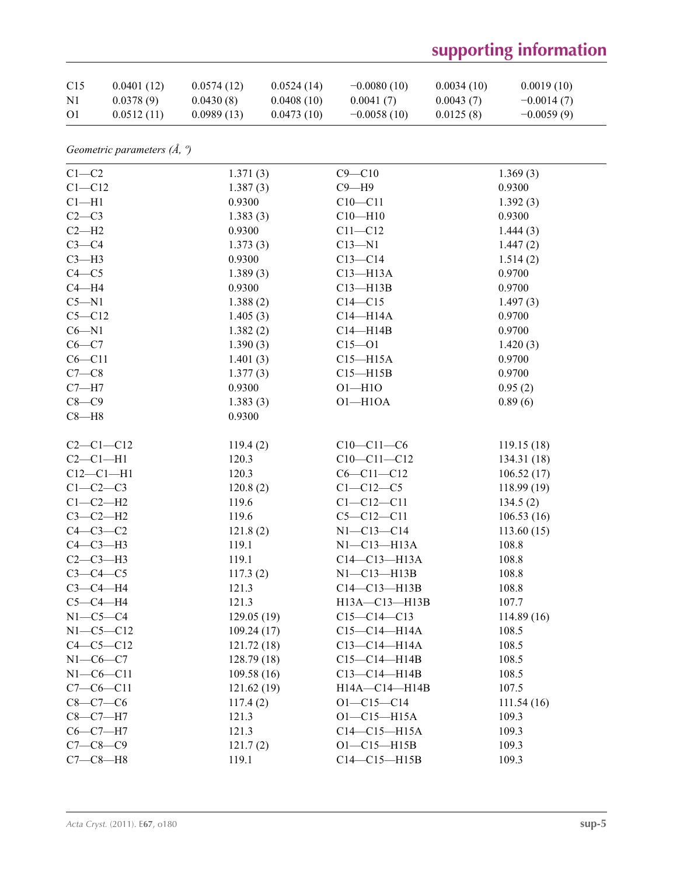# **supporting information**

| C15            | 0.0401(12) | 0.0574(12) | 0.0524(14) | $-0.0080(10)$ | 0.0034(10) | 0.0019(10)   |
|----------------|------------|------------|------------|---------------|------------|--------------|
| N <sub>1</sub> | 0.0378(9)  | 0.0430(8)  | 0.0408(10) | 0.0041(7)     | 0.0043(7)  | $-0.0014(7)$ |
| O <sub>1</sub> | 0.0512(11) | 0.0989(13) | 0.0473(10) | $-0.0058(10)$ | 0.0125(8)  | $-0.0059(9)$ |

| Geometric parameters $(\AA, \theta)$ |  |  |  |
|--------------------------------------|--|--|--|
|--------------------------------------|--|--|--|

| $C1-C2$         | 1.371(3)    | $C9 - C10$         | 1.369(3)    |
|-----------------|-------------|--------------------|-------------|
| $C1 - C12$      | 1.387(3)    | $C9 - H9$          | 0.9300      |
| $Cl-H1$         | 0.9300      | $C10 - C11$        | 1.392(3)    |
| $C2-C3$         | 1.383(3)    | $C10 - H10$        | 0.9300      |
| $C2-H2$         | 0.9300      | $C11 - C12$        | 1.444(3)    |
| $C3-C4$         | 1.373(3)    | $C13 - N1$         | 1.447(2)    |
| $C3-H3$         | 0.9300      | $C13 - C14$        | 1.514(2)    |
| $C4 - C5$       | 1.389(3)    | $C13 - H13A$       | 0.9700      |
| $C4 - H4$       | 0.9300      | $C13 - H13B$       | 0.9700      |
| $C5 - N1$       | 1.388(2)    | $C14 - C15$        | 1.497(3)    |
| $C5 - C12$      | 1.405(3)    | $C14 - H14A$       | 0.9700      |
| $C6 - N1$       | 1.382(2)    | $C14 - H14B$       | 0.9700      |
| $C6-C7$         | 1.390(3)    | $C15 - 01$         | 1.420(3)    |
| $C6 - C11$      | 1.401(3)    | $C15 - H15A$       | 0.9700      |
| $C7-C8$         | 1.377(3)    | $C15 - H15B$       | 0.9700      |
| $C7 - H7$       | 0.9300      | $O1 - H1O$         | 0.95(2)     |
| $C8-C9$         | 1.383(3)    | $O1 - H1OA$        | 0.89(6)     |
| $C8 - H8$       | 0.9300      |                    |             |
|                 |             |                    |             |
| $C2-C1-C12$     | 119.4(2)    | $C10-C11-C6$       | 119.15(18)  |
| $C2-C1-H1$      | 120.3       | $C10-C11-C12$      | 134.31 (18) |
| $C12-C1-H1$     | 120.3       | $C6 - C11 - C12$   | 106.52(17)  |
| $C1-C2-C3$      | 120.8(2)    | $C1 - C12 - C5$    | 118.99(19)  |
| $C1-C2-H2$      | 119.6       | $C1 - C12 - C11$   | 134.5(2)    |
| $C3-C2-H2$      | 119.6       | $C5 - C12 - C11$   | 106.53(16)  |
| $C4-C3-C2$      | 121.8(2)    | $N1 - C13 - C14$   | 113.60(15)  |
| $C4-C3-H3$      | 119.1       | $N1-C13-H13A$      | 108.8       |
| $C2-C3-H3$      | 119.1       | $C14-C13-H13A$     | 108.8       |
| $C3-C4-C5$      | 117.3(2)    | NI—C13—H13B        | 108.8       |
| $C3-C4-H4$      | 121.3       | $C14-C13-H13B$     | 108.8       |
| $C5-C4-H4$      | 121.3       | H13A-C13-H13B      | 107.7       |
| $N1-C5-C4$      | 129.05(19)  | $C15-C14-C13$      | 114.89(16)  |
| $N1 - C5 - C12$ | 109.24(17)  | $C15 - C14 - H14A$ | 108.5       |
| $C4 - C5 - C12$ | 121.72(18)  | $C13-C14-H14A$     | 108.5       |
| $N1-C6-C7$      | 128.79 (18) | $C15-C14-H14B$     | 108.5       |
| $N1 - C6 - C11$ | 109.58(16)  | $C13-C14-H14B$     | 108.5       |
| $C7-C6-C11$     | 121.62 (19) | H14A-C14-H14B      | 107.5       |
| $C8 - C7 - C6$  | 117.4(2)    | $O1 - C15 - C14$   | 111.54(16)  |
| $C8-C7-H7$      | 121.3       | $O1 - C15 - H15A$  | 109.3       |
| $C6-C7-H7$      | 121.3       | $C14-C15-H15A$     | 109.3       |
| $C7 - C8 - C9$  | 121.7(2)    | $O1 - C15 - H15B$  | 109.3       |
| $C7-C8-H8$      | 119.1       | $C14-C15-H15B$     | 109.3       |